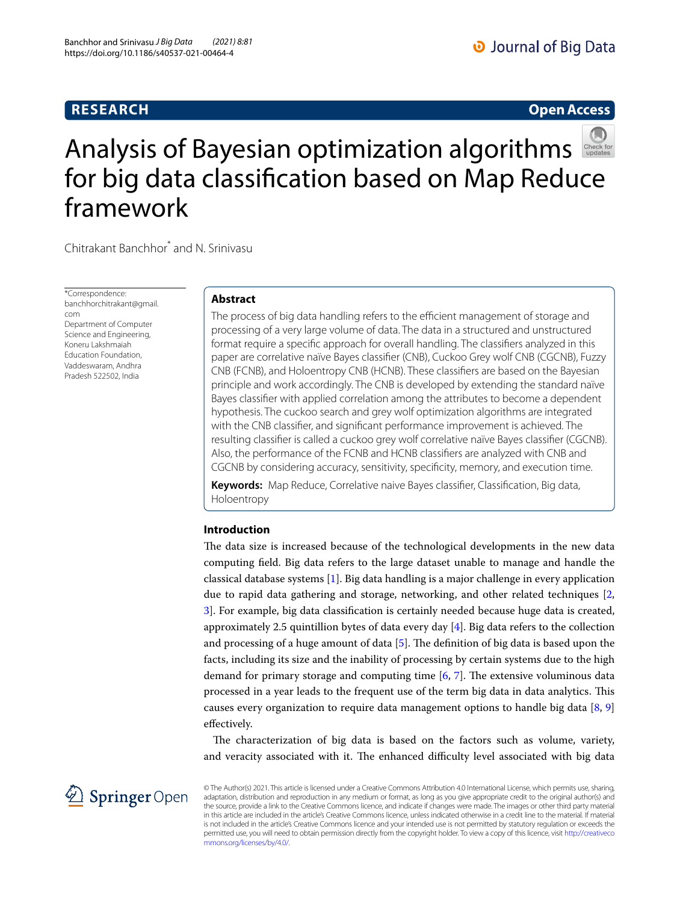# **RESEARCH**

# **Open Access**



# Analysis of Bayesian optimization algorithms for big data classification based on Map Reduce framework

Chitrakant Banchhor<sup>\*</sup> and N. Srinivasu

\*Correspondence: banchhorchitrakant@gmail. com Department of Computer Science and Engineering, Koneru Lakshmaiah Education Foundation, Vaddeswaram, Andhra Pradesh 522502, India

## **Abstract**

The process of big data handling refers to the efficient management of storage and processing of a very large volume of data. The data in a structured and unstructured format require a specific approach for overall handling. The classifiers analyzed in this paper are correlative naïve Bayes classifier (CNB), Cuckoo Grey wolf CNB (CGCNB), Fuzzy CNB (FCNB), and Holoentropy CNB (HCNB). These classifiers are based on the Bayesian principle and work accordingly. The CNB is developed by extending the standard naïve Bayes classifier with applied correlation among the attributes to become a dependent hypothesis. The cuckoo search and grey wolf optimization algorithms are integrated with the CNB classifier, and significant performance improvement is achieved. The resulting classifier is called a cuckoo grey wolf correlative naïve Bayes classifier (CGCNB). Also, the performance of the FCNB and HCNB classifiers are analyzed with CNB and CGCNB by considering accuracy, sensitivity, specificity, memory, and execution time.

**Keywords:** Map Reduce, Correlative naive Bayes classifier, Classification, Big data, Holoentropy

## **Introduction**

The data size is increased because of the technological developments in the new data computing field. Big data refers to the large dataset unable to manage and handle the classical database systems [\[1](#page-16-0)]. Big data handling is a major challenge in every application due to rapid data gathering and storage, networking, and other related techniques [\[2](#page-16-1), [3\]](#page-16-2). For example, big data classification is certainly needed because huge data is created, approximately 2.5 quintillion bytes of data every day  $[4]$  $[4]$ . Big data refers to the collection and processing of a huge amount of data  $[5]$  $[5]$ . The definition of big data is based upon the facts, including its size and the inability of processing by certain systems due to the high demand for primary storage and computing time  $[6, 7]$  $[6, 7]$  $[6, 7]$  $[6, 7]$ . The extensive voluminous data processed in a year leads to the frequent use of the term big data in data analytics. This causes every organization to require data management options to handle big data  $[8, 9]$  $[8, 9]$  $[8, 9]$  $[8, 9]$  $[8, 9]$ effectively.

The characterization of big data is based on the factors such as volume, variety, and veracity associated with it. The enhanced difficulty level associated with big data



© The Author(s) 2021. This article is licensed under a Creative Commons Attribution 4.0 International License, which permits use, sharing, adaptation, distribution and reproduction in any medium or format, as long as you give appropriate credit to the original author(s) and the source, provide a link to the Creative Commons licence, and indicate if changes were made. The images or other third party material in this article are included in the article's Creative Commons licence, unless indicated otherwise in a credit line to the material. If material is not included in the article's Creative Commons licence and your intended use is not permitted by statutory regulation or exceeds the permitted use, you will need to obtain permission directly from the copyright holder. To view a copy of this licence, visit http://creativeco mmons.org/licenses/by/4.0/.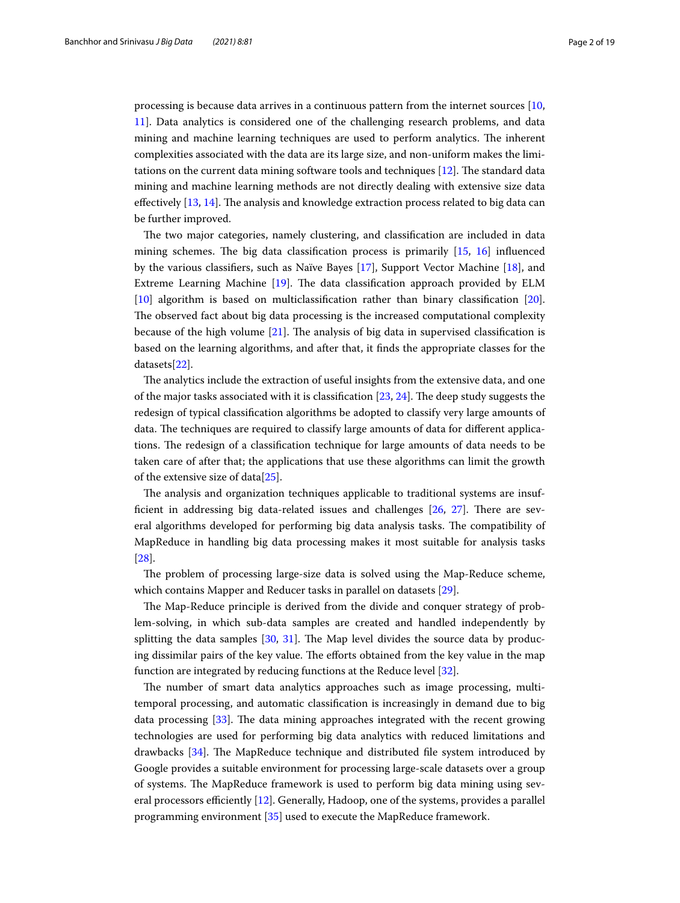processing is because data arrives in a continuous pattern from the internet sources [[10](#page-16-9), [11](#page-16-10)]. Data analytics is considered one of the challenging research problems, and data mining and machine learning techniques are used to perform analytics. The inherent complexities associated with the data are its large size, and non-uniform makes the limitations on the current data mining software tools and techniques [[12\]](#page-16-11). The standard data mining and machine learning methods are not directly dealing with extensive size data effectively [\[13,](#page-16-12) [14](#page-16-13)]. The analysis and knowledge extraction process related to big data can be further improved.

The two major categories, namely clustering, and classification are included in data mining schemes. The big data classification process is primarily [[15](#page-16-14), [16\]](#page-16-15) influenced by the various classifiers, such as Naïve Bayes [[17\]](#page-16-16), Support Vector Machine [[18\]](#page-16-17), and Extreme Learning Machine [\[19](#page-16-18)]. The data classification approach provided by ELM [[10\]](#page-16-9) algorithm is based on multiclassification rather than binary classification [\[20](#page-16-19)]. The observed fact about big data processing is the increased computational complexity because of the high volume [\[21](#page-16-20)]. The analysis of big data in supervised classification is based on the learning algorithms, and after that, it finds the appropriate classes for the datasets[[22\]](#page-16-21).

The analytics include the extraction of useful insights from the extensive data, and one of the major tasks associated with it is classification [\[23](#page-16-22), [24\]](#page-16-23). The deep study suggests the redesign of typical classification algorithms be adopted to classify very large amounts of data. The techniques are required to classify large amounts of data for different applications. The redesign of a classification technique for large amounts of data needs to be taken care of after that; the applications that use these algorithms can limit the growth of the extensive size of data[\[25\]](#page-17-0).

The analysis and organization techniques applicable to traditional systems are insufficient in addressing big data-related issues and challenges [[26,](#page-17-1) [27](#page-17-2)]. There are several algorithms developed for performing big data analysis tasks. The compatibility of MapReduce in handling big data processing makes it most suitable for analysis tasks [[28\]](#page-17-3).

The problem of processing large-size data is solved using the Map-Reduce scheme, which contains Mapper and Reducer tasks in parallel on datasets [[29\]](#page-17-4).

The Map-Reduce principle is derived from the divide and conquer strategy of problem-solving, in which sub-data samples are created and handled independently by splitting the data samples [\[30,](#page-17-5) [31\]](#page-17-6). The Map level divides the source data by producing dissimilar pairs of the key value. The efforts obtained from the key value in the map function are integrated by reducing functions at the Reduce level [[32\]](#page-17-7).

The number of smart data analytics approaches such as image processing, multitemporal processing, and automatic classification is increasingly in demand due to big data processing [\[33\]](#page-17-8). The data mining approaches integrated with the recent growing technologies are used for performing big data analytics with reduced limitations and drawbacks [[34\]](#page-17-9). The MapReduce technique and distributed file system introduced by Google provides a suitable environment for processing large-scale datasets over a group of systems. The MapReduce framework is used to perform big data mining using several processors efficiently [[12\]](#page-16-11). Generally, Hadoop, one of the systems, provides a parallel programming environment [[35](#page-17-10)] used to execute the MapReduce framework.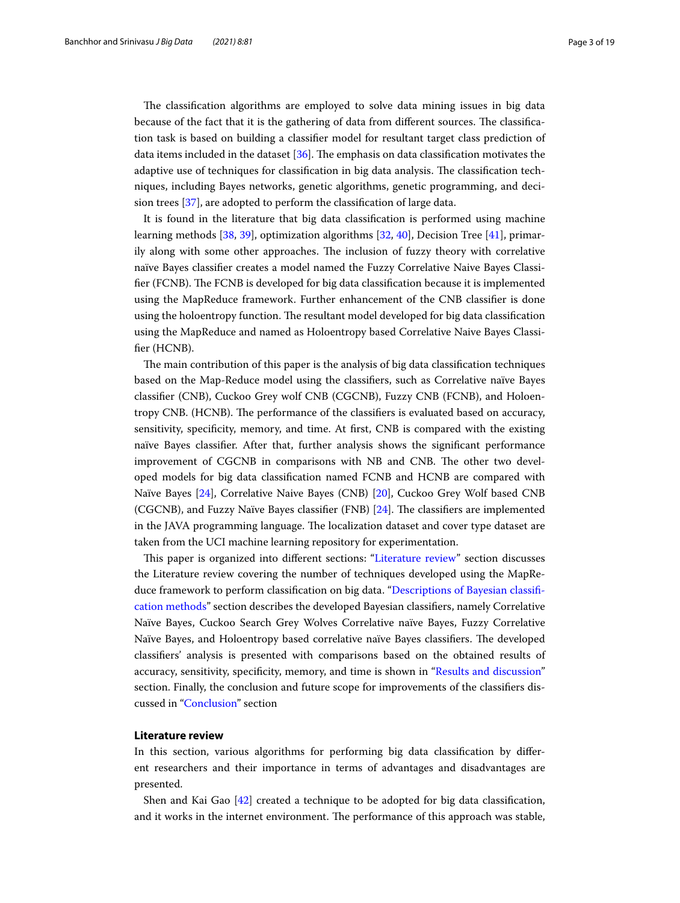The classification algorithms are employed to solve data mining issues in big data because of the fact that it is the gathering of data from different sources. The classification task is based on building a classifier model for resultant target class prediction of data items included in the dataset [[36\]](#page-17-11). The emphasis on data classification motivates the adaptive use of techniques for classification in big data analysis. The classification techniques, including Bayes networks, genetic algorithms, genetic programming, and decision trees [\[37](#page-17-12)], are adopted to perform the classification of large data.

It is found in the literature that big data classification is performed using machine learning methods [\[38](#page-17-13), [39\]](#page-17-14), optimization algorithms [[32,](#page-17-7) [40](#page-17-15)], Decision Tree [\[41](#page-17-16)], primarily along with some other approaches. The inclusion of fuzzy theory with correlative naïve Bayes classifier creates a model named the Fuzzy Correlative Naive Bayes Classifier (FCNB). The FCNB is developed for big data classification because it is implemented using the MapReduce framework. Further enhancement of the CNB classifier is done using the holoentropy function. The resultant model developed for big data classification using the MapReduce and named as Holoentropy based Correlative Naive Bayes Classifier (HCNB).

The main contribution of this paper is the analysis of big data classification techniques based on the Map-Reduce model using the classifiers, such as Correlative naïve Bayes classifier (CNB), Cuckoo Grey wolf CNB (CGCNB), Fuzzy CNB (FCNB), and Holoentropy CNB. (HCNB). The performance of the classifiers is evaluated based on accuracy, sensitivity, specificity, memory, and time. At first, CNB is compared with the existing naïve Bayes classifier. After that, further analysis shows the significant performance improvement of CGCNB in comparisons with NB and CNB. The other two developed models for big data classification named FCNB and HCNB are compared with Naïve Bayes [[24](#page-16-23)], Correlative Naive Bayes (CNB) [\[20](#page-16-19)], Cuckoo Grey Wolf based CNB (CGCNB), and Fuzzy Naïve Bayes classifier (FNB) [[24\]](#page-16-23). The classifiers are implemented in the JAVA programming language. The localization dataset and cover type dataset are taken from the UCI machine learning repository for experimentation.

This paper is organized into different sections: ["Literature review"](#page-2-0) section discusses the Literature review covering the number of techniques developed using the MapReduce framework to perform classification on big data. ["Descriptions of Bayesian classifi](#page-5-0)[cation methods"](#page-5-0) section describes the developed Bayesian classifiers, namely Correlative Naïve Bayes, Cuckoo Search Grey Wolves Correlative naïve Bayes, Fuzzy Correlative Naïve Bayes, and Holoentropy based correlative naïve Bayes classifiers. The developed classifiers' analysis is presented with comparisons based on the obtained results of accuracy, sensitivity, specificity, memory, and time is shown in "[Results and discussion"](#page-7-0) section. Finally, the conclusion and future scope for improvements of the classifiers discussed in ["Conclusion](#page-15-0)" section

## <span id="page-2-0"></span>**Literature review**

In this section, various algorithms for performing big data classification by different researchers and their importance in terms of advantages and disadvantages are presented.

Shen and Kai Gao [\[42](#page-17-17)] created a technique to be adopted for big data classification, and it works in the internet environment. The performance of this approach was stable,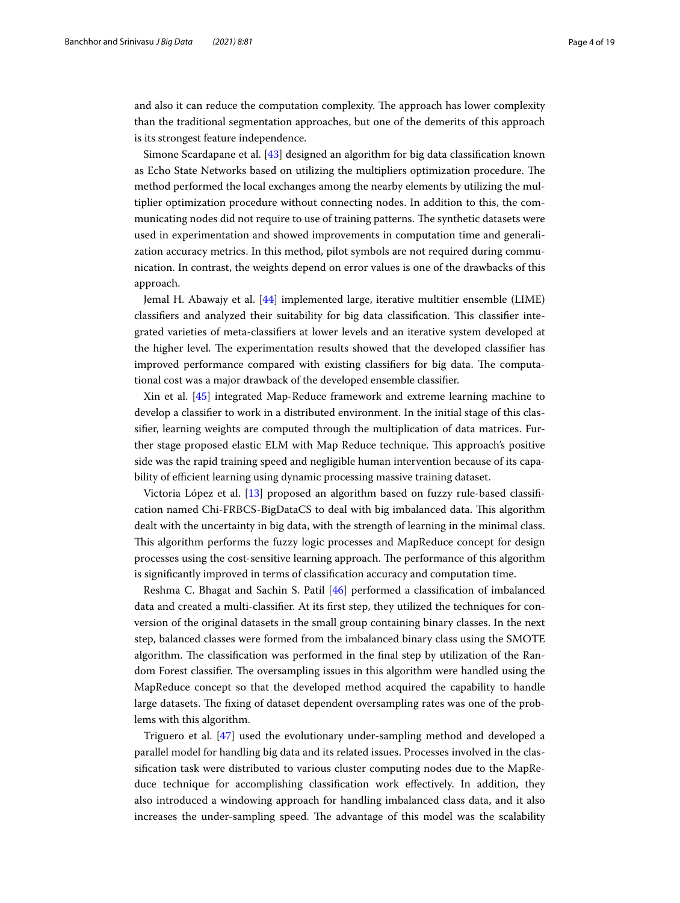and also it can reduce the computation complexity. The approach has lower complexity than the traditional segmentation approaches, but one of the demerits of this approach is its strongest feature independence.

Simone Scardapane et al. [[43](#page-17-18)] designed an algorithm for big data classification known as Echo State Networks based on utilizing the multipliers optimization procedure. The method performed the local exchanges among the nearby elements by utilizing the multiplier optimization procedure without connecting nodes. In addition to this, the communicating nodes did not require to use of training patterns. The synthetic datasets were used in experimentation and showed improvements in computation time and generalization accuracy metrics. In this method, pilot symbols are not required during communication. In contrast, the weights depend on error values is one of the drawbacks of this approach.

Jemal H. Abawajy et al. [\[44\]](#page-17-19) implemented large, iterative multitier ensemble (LIME) classifiers and analyzed their suitability for big data classification. This classifier integrated varieties of meta-classifiers at lower levels and an iterative system developed at the higher level. The experimentation results showed that the developed classifier has improved performance compared with existing classifiers for big data. The computational cost was a major drawback of the developed ensemble classifier.

Xin et al. [[45](#page-17-20)] integrated Map-Reduce framework and extreme learning machine to develop a classifier to work in a distributed environment. In the initial stage of this classifier, learning weights are computed through the multiplication of data matrices. Further stage proposed elastic ELM with Map Reduce technique. This approach's positive side was the rapid training speed and negligible human intervention because of its capability of efficient learning using dynamic processing massive training dataset.

Victoria López et al. [[13](#page-16-12)] proposed an algorithm based on fuzzy rule-based classification named Chi-FRBCS-BigDataCS to deal with big imbalanced data. This algorithm dealt with the uncertainty in big data, with the strength of learning in the minimal class. This algorithm performs the fuzzy logic processes and MapReduce concept for design processes using the cost-sensitive learning approach. The performance of this algorithm is significantly improved in terms of classification accuracy and computation time.

Reshma C. Bhagat and Sachin S. Patil [\[46](#page-17-21)] performed a classification of imbalanced data and created a multi-classifier. At its first step, they utilized the techniques for conversion of the original datasets in the small group containing binary classes. In the next step, balanced classes were formed from the imbalanced binary class using the SMOTE algorithm. The classification was performed in the final step by utilization of the Random Forest classifier. The oversampling issues in this algorithm were handled using the MapReduce concept so that the developed method acquired the capability to handle large datasets. The fixing of dataset dependent oversampling rates was one of the problems with this algorithm.

Triguero et al. [[47\]](#page-17-22) used the evolutionary under-sampling method and developed a parallel model for handling big data and its related issues. Processes involved in the classification task were distributed to various cluster computing nodes due to the MapReduce technique for accomplishing classification work effectively. In addition, they also introduced a windowing approach for handling imbalanced class data, and it also increases the under-sampling speed. The advantage of this model was the scalability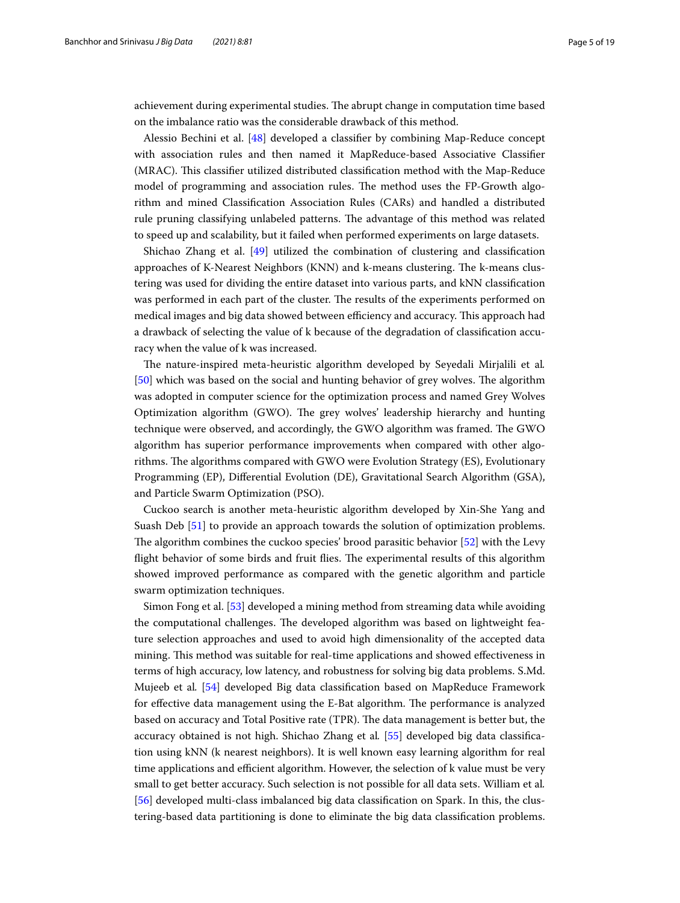achievement during experimental studies. The abrupt change in computation time based on the imbalance ratio was the considerable drawback of this method.

Alessio Bechini et al. [\[48](#page-17-23)] developed a classifier by combining Map-Reduce concept with association rules and then named it MapReduce-based Associative Classifier (MRAC). This classifier utilized distributed classification method with the Map-Reduce model of programming and association rules. The method uses the FP-Growth algorithm and mined Classification Association Rules (CARs) and handled a distributed rule pruning classifying unlabeled patterns. The advantage of this method was related to speed up and scalability, but it failed when performed experiments on large datasets.

Shichao Zhang et al. [\[49](#page-17-24)] utilized the combination of clustering and classification approaches of K-Nearest Neighbors (KNN) and k-means clustering. The k-means clustering was used for dividing the entire dataset into various parts, and kNN classification was performed in each part of the cluster. The results of the experiments performed on medical images and big data showed between efficiency and accuracy. This approach had a drawback of selecting the value of k because of the degradation of classification accuracy when the value of k was increased.

The nature-inspired meta-heuristic algorithm developed by Seyedali Mirjalili et al. [[50\]](#page-17-25) which was based on the social and hunting behavior of grey wolves. The algorithm was adopted in computer science for the optimization process and named Grey Wolves Optimization algorithm (GWO). The grey wolves' leadership hierarchy and hunting technique were observed, and accordingly, the GWO algorithm was framed. The GWO algorithm has superior performance improvements when compared with other algorithms. The algorithms compared with GWO were Evolution Strategy (ES), Evolutionary Programming (EP), Differential Evolution (DE), Gravitational Search Algorithm (GSA), and Particle Swarm Optimization (PSO).

Cuckoo search is another meta-heuristic algorithm developed by Xin-She Yang and Suash Deb [[51](#page-17-26)] to provide an approach towards the solution of optimization problems. The algorithm combines the cuckoo species' brood parasitic behavior [[52](#page-17-27)] with the Levy flight behavior of some birds and fruit flies. The experimental results of this algorithm showed improved performance as compared with the genetic algorithm and particle swarm optimization techniques.

Simon Fong et al. [[53\]](#page-17-28) developed a mining method from streaming data while avoiding the computational challenges. The developed algorithm was based on lightweight feature selection approaches and used to avoid high dimensionality of the accepted data mining. This method was suitable for real-time applications and showed effectiveness in terms of high accuracy, low latency, and robustness for solving big data problems. S.Md. Mujeeb et al. [[54\]](#page-17-29) developed Big data classification based on MapReduce Framework for effective data management using the E-Bat algorithm. The performance is analyzed based on accuracy and Total Positive rate (TPR). The data management is better but, the accuracy obtained is not high. Shichao Zhang et al. [[55](#page-17-30)] developed big data classification using kNN (k nearest neighbors). It is well known easy learning algorithm for real time applications and efficient algorithm. However, the selection of k value must be very small to get better accuracy. Such selection is not possible for all data sets. William et al. [[56\]](#page-17-31) developed multi-class imbalanced big data classification on Spark. In this, the clustering-based data partitioning is done to eliminate the big data classification problems.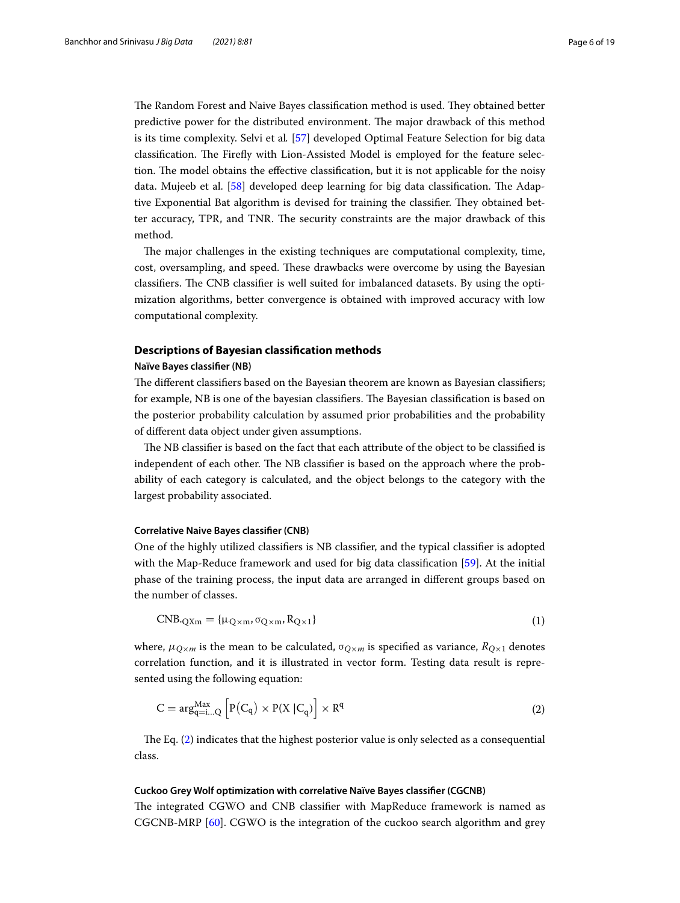The Random Forest and Naive Bayes classification method is used. They obtained better predictive power for the distributed environment. The major drawback of this method is its time complexity. Selvi et al. [[57\]](#page-17-32) developed Optimal Feature Selection for big data classification. The Firefly with Lion-Assisted Model is employed for the feature selection. The model obtains the effective classification, but it is not applicable for the noisy data. Mujeeb et al. [\[58\]](#page-17-33) developed deep learning for big data classification. The Adaptive Exponential Bat algorithm is devised for training the classifier. They obtained better accuracy, TPR, and TNR. The security constraints are the major drawback of this method.

The major challenges in the existing techniques are computational complexity, time, cost, oversampling, and speed. These drawbacks were overcome by using the Bayesian classifiers. The CNB classifier is well suited for imbalanced datasets. By using the optimization algorithms, better convergence is obtained with improved accuracy with low computational complexity.

## <span id="page-5-0"></span>**Descriptions of Bayesian classification methods**

#### **Naïve Bayes classifier (NB)**

The different classifiers based on the Bayesian theorem are known as Bayesian classifiers; for example, NB is one of the bayesian classifiers. The Bayesian classification is based on the posterior probability calculation by assumed prior probabilities and the probability of different data object under given assumptions.

The NB classifier is based on the fact that each attribute of the object to be classified is independent of each other. The NB classifier is based on the approach where the probability of each category is calculated, and the object belongs to the category with the largest probability associated.

## **Correlative Naive Bayes classifier (CNB)**

One of the highly utilized classifiers is NB classifier, and the typical classifier is adopted with the Map-Reduce framework and used for big data classification [[59\]](#page-17-34). At the initial phase of the training process, the input data are arranged in different groups based on the number of classes.

$$
CNB_{\cdot QXm} = {\mu_{Q \times m}, \sigma_{Q \times m}, R_{Q \times 1}}
$$
\n(1)

where,  $\mu_{Q \times m}$  is the mean to be calculated,  $\sigma_{Q \times m}$  is specified as variance,  $R_{Q \times 1}$  denotes correlation function, and it is illustrated in vector form. Testing data result is represented using the following equation:

<span id="page-5-1"></span>
$$
C = \arg_{q=i...Q}^{Max} \left[ P(C_q) \times P(X \mid C_q) \right] \times R^q \tag{2}
$$

The Eq. ([2\)](#page-5-1) indicates that the highest posterior value is only selected as a consequential class.

## **Cuckoo Grey Wolf optimization with correlative Naïve Bayes classifier (CGCNB)**

The integrated CGWO and CNB classifier with MapReduce framework is named as CGCNB-MRP [[60\]](#page-18-0). CGWO is the integration of the cuckoo search algorithm and grey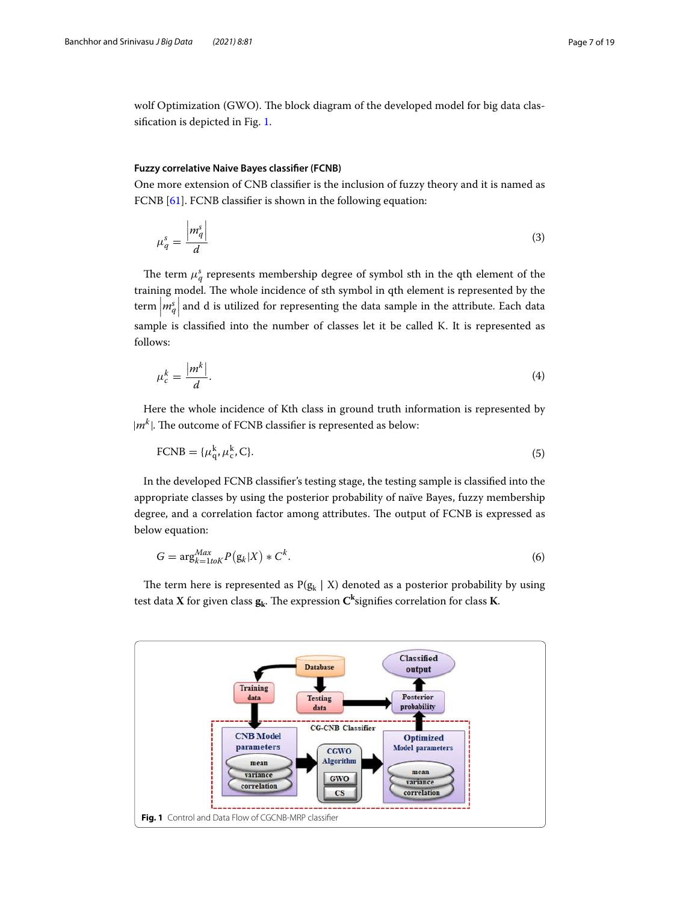wolf Optimization (GWO). The block diagram of the developed model for big data classification is depicted in Fig. [1.](#page-6-0)

## **Fuzzy correlative Naive Bayes classifier (FCNB)**

One more extension of CNB classifier is the inclusion of fuzzy theory and it is named as FCNB [[61\]](#page-18-1). FCNB classifier is shown in the following equation:

$$
\mu_q^s = \frac{|m_q^s|}{d} \tag{3}
$$

The term  $\mu_q^s$  represents membership degree of symbol sth in the qth element of the training model. The whole incidence of sth symbol in qth element is represented by the term  $\left|m^s_q\right|$  and d is utilized for representing the data sample in the attribute. Each data sample is classified into the number of classes let it be called K. It is represented as follows:

$$
\mu_c^k = \frac{|m^k|}{d}.\tag{4}
$$

Here the whole incidence of Kth class in ground truth information is represented by  $|m^k|$ . The outcome of FCNB classifier is represented as below:

$$
\text{FCNB} = \{\mu_{\mathbf{q}}^k, \mu_{\mathbf{c}}^k, \mathbf{C}\}. \tag{5}
$$

In the developed FCNB classifier's testing stage, the testing sample is classified into the appropriate classes by using the posterior probability of naïve Bayes, fuzzy membership degree, and a correlation factor among attributes. The output of FCNB is expressed as below equation:

$$
G = \arg_{k=1}^{Max} P(g_k|X) * C^k.
$$
\n(6)

The term here is represented as  $P(g_k \mid X)$  denoted as a posterior probability by using test data **X** for given class **g<sup>k</sup>** . The expression **C k** signifies correlation for class **K**.

<span id="page-6-0"></span>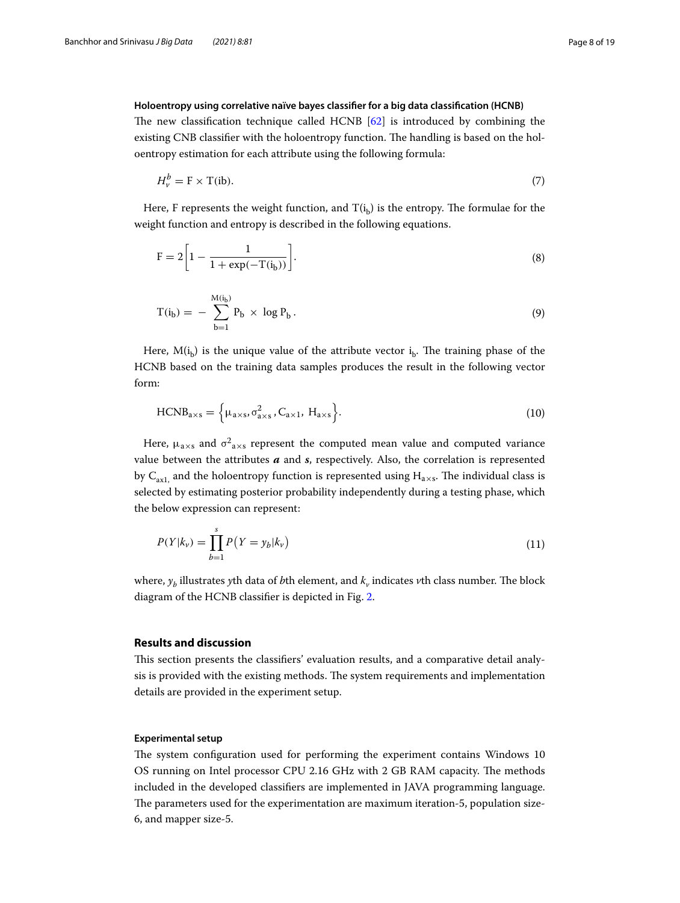## **Holoentropy using correlative naïve bayes classifier for a big data classification (HCNB)**

The new classification technique called HCNB [[62\]](#page-18-2) is introduced by combining the existing CNB classifier with the holoentropy function. The handling is based on the holoentropy estimation for each attribute using the following formula:

$$
H_v^b = \mathbf{F} \times \mathbf{T}(\mathbf{ib}).\tag{7}
$$

Here, F represents the weight function, and  $T(i_b)$  is the entropy. The formulae for the weight function and entropy is described in the following equations.

$$
F = 2\left[1 - \frac{1}{1 + \exp(-T(i_b))}\right].
$$
 (8)

$$
T(i_b) = -\sum_{b=1}^{M(i_b)} P_b \times \log P_b.
$$
 (9)

Here,  $M(i_b)$  is the unique value of the attribute vector  $i_b$ . The training phase of the HCNB based on the training data samples produces the result in the following vector form:

$$
HCNB_{a\times s} = \left\{ \mu_{a\times s}, \sigma_{a\times s}^2, C_{a\times 1}, H_{a\times s} \right\}.
$$
 (10)

Here,  $\mu_{a\times s}$  and  $\sigma_{a\times s}^2$  represent the computed mean value and computed variance value between the attributes **a** and **s**, respectively. Also, the correlation is represented by  $C_{ax1}$ , and the holoentropy function is represented using  $H_{a\times s}$ . The individual class is selected by estimating posterior probability independently during a testing phase, which the below expression can represent:

$$
P(Y|k_{\nu}) = \prod_{b=1}^{s} P(Y = y_b|k_{\nu})
$$
\n(11)

where,  $y_b$  illustrates yth data of  $b$ th element, and  $k_{\mathrm{\nu}}$  indicates  $\nu$ th class number. The block diagram of the HCNB classifier is depicted in Fig. [2](#page-8-0).

## <span id="page-7-0"></span>**Results and discussion**

This section presents the classifiers' evaluation results, and a comparative detail analysis is provided with the existing methods. The system requirements and implementation details are provided in the experiment setup.

## **Experimental setup**

The system configuration used for performing the experiment contains Windows 10 OS running on Intel processor CPU 2.16 GHz with 2 GB RAM capacity. The methods included in the developed classifiers are implemented in JAVA programming language. The parameters used for the experimentation are maximum iteration-5, population size-6, and mapper size-5.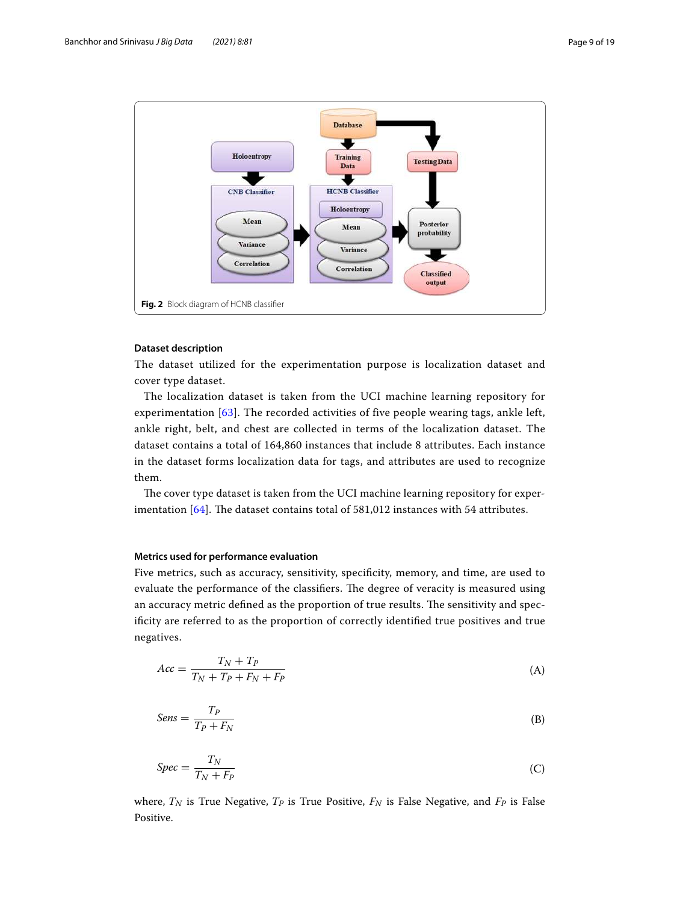

## <span id="page-8-0"></span>**Dataset description**

The dataset utilized for the experimentation purpose is localization dataset and cover type dataset.

The localization dataset is taken from the UCI machine learning repository for experimentation [\[63\]](#page-18-3). The recorded activities of five people wearing tags, ankle left, ankle right, belt, and chest are collected in terms of the localization dataset. The dataset contains a total of 164,860 instances that include 8 attributes. Each instance in the dataset forms localization data for tags, and attributes are used to recognize them.

The cover type dataset is taken from the UCI machine learning repository for experimentation [[64\]](#page-18-4). The dataset contains total of 581,012 instances with 54 attributes.

## **Metrics used for performance evaluation**

Five metrics, such as accuracy, sensitivity, specificity, memory, and time, are used to evaluate the performance of the classifiers. The degree of veracity is measured using an accuracy metric defined as the proportion of true results. The sensitivity and specificity are referred to as the proportion of correctly identified true positives and true negatives.

$$
Acc = \frac{T_N + T_P}{T_N + T_P + F_N + F_P} \tag{A}
$$

$$
Sens = \frac{T_P}{T_P + F_N} \tag{B}
$$

$$
Spec = \frac{T_N}{T_N + F_P} \tag{C}
$$

where,  $T_N$  is True Negative,  $T_P$  is True Positive,  $F_N$  is False Negative, and  $F_P$  is False Positive.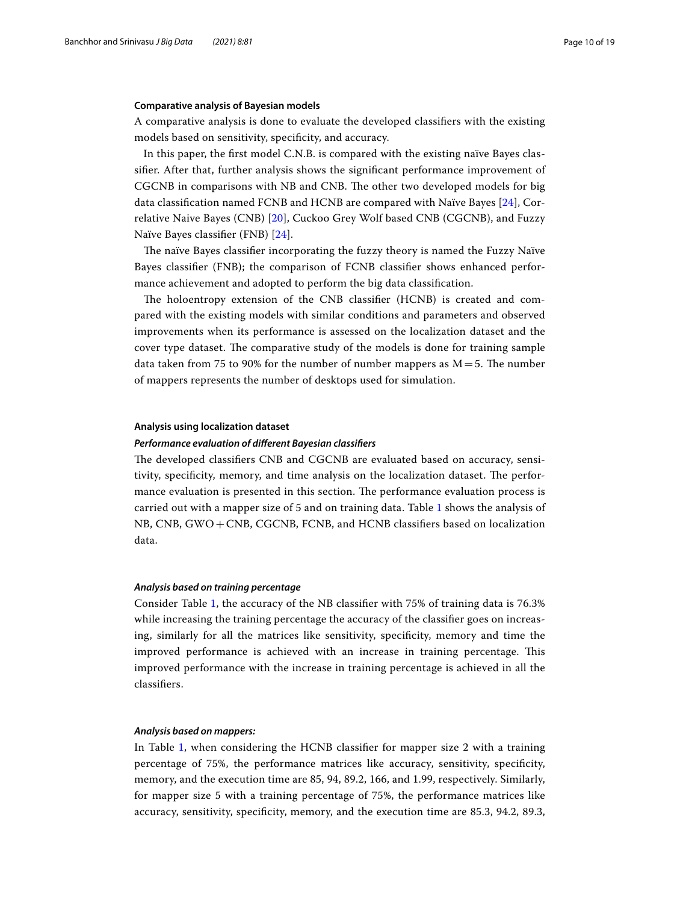## **Comparative analysis of Bayesian models**

A comparative analysis is done to evaluate the developed classifiers with the existing models based on sensitivity, specificity, and accuracy.

In this paper, the first model C.N.B. is compared with the existing naïve Bayes classifier. After that, further analysis shows the significant performance improvement of CGCNB in comparisons with NB and CNB. The other two developed models for big data classification named FCNB and HCNB are compared with Naïve Bayes [[24](#page-16-23)], Correlative Naive Bayes (CNB) [[20](#page-16-19)], Cuckoo Grey Wolf based CNB (CGCNB), and Fuzzy Naïve Bayes classifier (FNB) [\[24](#page-16-23)].

The naïve Bayes classifier incorporating the fuzzy theory is named the Fuzzy Naïve Bayes classifier (FNB); the comparison of FCNB classifier shows enhanced performance achievement and adopted to perform the big data classification.

The holoentropy extension of the CNB classifier (HCNB) is created and compared with the existing models with similar conditions and parameters and observed improvements when its performance is assessed on the localization dataset and the cover type dataset. The comparative study of the models is done for training sample data taken from 75 to 90% for the number of number mappers as  $M = 5$ . The number of mappers represents the number of desktops used for simulation.

#### **Analysis using localization dataset**

#### **Performance evaluation of different Bayesian classifiers**

The developed classifiers CNB and CGCNB are evaluated based on accuracy, sensitivity, specificity, memory, and time analysis on the localization dataset. The performance evaluation is presented in this section. The performance evaluation process is carried out with a mapper size of 5 and on training data. Table [1](#page-10-0) shows the analysis of NB, CNB, GWO + CNB, CGCNB, FCNB, and HCNB classifiers based on localization data.

## **Analysis based on training percentage**

Consider Table [1](#page-10-0), the accuracy of the NB classifier with 75% of training data is 76.3% while increasing the training percentage the accuracy of the classifier goes on increasing, similarly for all the matrices like sensitivity, specificity, memory and time the improved performance is achieved with an increase in training percentage. This improved performance with the increase in training percentage is achieved in all the classifiers.

## **Analysis based on mappers:**

In Table [1](#page-10-0), when considering the HCNB classifier for mapper size 2 with a training percentage of 75%, the performance matrices like accuracy, sensitivity, specificity, memory, and the execution time are 85, 94, 89.2, 166, and 1.99, respectively. Similarly, for mapper size 5 with a training percentage of 75%, the performance matrices like accuracy, sensitivity, specificity, memory, and the execution time are 85.3, 94.2, 89.3,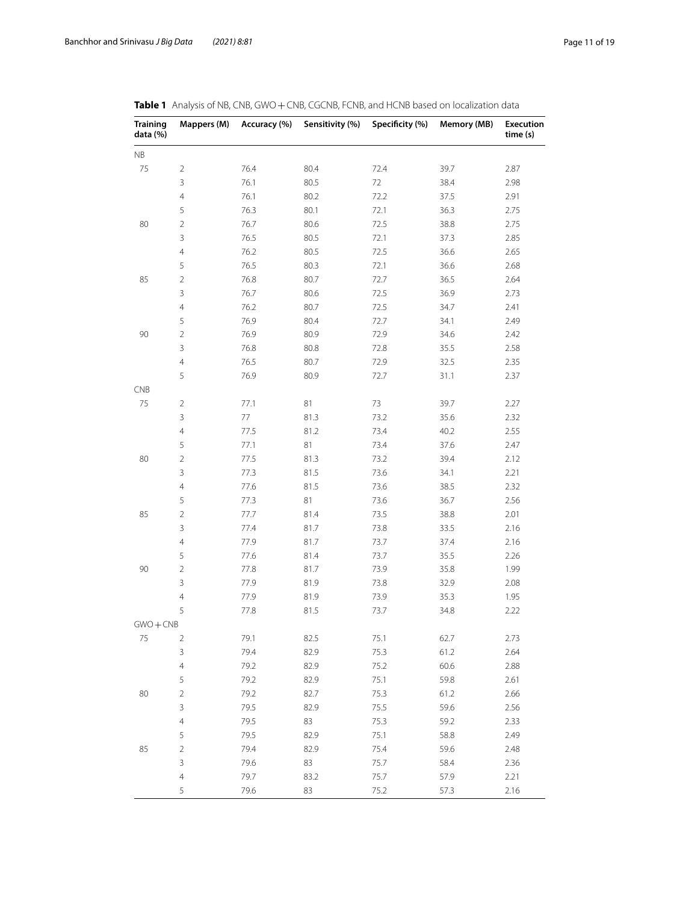| <b>Training</b><br>data (%) | Mappers (M)    | Accuracy (%) | Sensitivity (%) | Specificity (%) | Memory (MB) | <b>Execution</b><br>time (s) |
|-----------------------------|----------------|--------------|-----------------|-----------------|-------------|------------------------------|
| $\mathsf{NB}$               |                |              |                 |                 |             |                              |
| 75                          | $\overline{2}$ | 76.4         | 80.4            | 72.4            | 39.7        | 2.87                         |
|                             | 3              | 76.1         | 80.5            | 72              | 38.4        | 2.98                         |
|                             | $\overline{4}$ | 76.1         | 80.2            | 72.2            | 37.5        | 2.91                         |
|                             | 5              | 76.3         | 80.1            | 72.1            | 36.3        | 2.75                         |
| 80                          | $\overline{2}$ | 76.7         | 80.6            | 72.5            | 38.8        | 2.75                         |
|                             | 3              | 76.5         | 80.5            | 72.1            | 37.3        | 2.85                         |
|                             | $\overline{4}$ | 76.2         | 80.5            | 72.5            | 36.6        | 2.65                         |
|                             | 5              | 76.5         | 80.3            | 72.1            | 36.6        | 2.68                         |
| 85                          | $\overline{2}$ | 76.8         | 80.7            | 72.7            | 36.5        | 2.64                         |
|                             | 3              | 76.7         | 80.6            | 72.5            | 36.9        | 2.73                         |
|                             | $\overline{4}$ | 76.2         | 80.7            | 72.5            | 34.7        | 2.41                         |
|                             | 5              | 76.9         | 80.4            | 72.7            | 34.1        | 2.49                         |
| 90                          | $\overline{2}$ | 76.9         | 80.9            | 72.9            | 34.6        | 2.42                         |
|                             | 3              | 76.8         | 80.8            | 72.8            | 35.5        | 2.58                         |
|                             | $\overline{4}$ | 76.5         | 80.7            | 72.9            | 32.5        | 2.35                         |
|                             | 5              | 76.9         | 80.9            | 72.7            | 31.1        | 2.37                         |
| CNB                         |                |              |                 |                 |             |                              |
| 75                          | $\overline{2}$ | 77.1         | 81              | 73              | 39.7        | 2.27                         |
|                             | 3              | 77           | 81.3            | 73.2            | 35.6        | 2.32                         |
|                             | $\overline{4}$ | 77.5         | 81.2            | 73.4            | 40.2        | 2.55                         |
|                             | 5              | 77.1         | 81              | 73.4            | 37.6        | 2.47                         |
| 80                          | $\sqrt{2}$     | 77.5         | 81.3            | 73.2            | 39.4        | 2.12                         |
|                             | $\mathsf 3$    | 77.3         | 81.5            | 73.6            | 34.1        | 2.21                         |
|                             | $\overline{4}$ | 77.6         | 81.5            | 73.6            | 38.5        | 2.32                         |
|                             | 5              | 77.3         | 81              | 73.6            | 36.7        | 2.56                         |
| 85                          | $\sqrt{2}$     | 77.7         | 81.4            | 73.5            | 38.8        | 2.01                         |
|                             | 3              | 77.4         | 81.7            | 73.8            | 33.5        | 2.16                         |
|                             | $\overline{4}$ | 77.9         | 81.7            | 73.7            | 37.4        | 2.16                         |
|                             | 5              | 77.6         | 81.4            | 73.7            | 35.5        | 2.26                         |
| 90                          | $\sqrt{2}$     | 77.8         | 81.7            | 73.9            | 35.8        | 1.99                         |
|                             | $\mathsf 3$    | 77.9         | 81.9            | 73.8            | 32.9        | 2.08                         |
|                             | $\overline{4}$ | 77.9         | 81.9            | 73.9            | 35.3        | 1.95                         |
|                             | 5              | 77.8         | 81.5            | 73.7            | 34.8        | 2.22                         |
| $GWO + CNB$                 |                |              |                 |                 |             |                              |
| 75                          | $\overline{2}$ | 79.1         | 82.5            | 75.1            | 62.7        | 2.73                         |
|                             | 3              | 79.4         | 82.9            | 75.3            | 61.2        | 2.64                         |
|                             | $\overline{4}$ | 79.2         | 82.9            | 75.2            | 60.6        | 2.88                         |
|                             | 5              | 79.2         | 82.9            | 75.1            | 59.8        | 2.61                         |
| 80                          | $\overline{2}$ | 79.2         | 82.7            | 75.3            | 61.2        | 2.66                         |
|                             | 3              | 79.5         | 82.9            | 75.5            | 59.6        | 2.56                         |
|                             | $\overline{4}$ | 79.5         | 83              | 75.3            | 59.2        | 2.33                         |
|                             | 5              | 79.5         | 82.9            | 75.1            | 58.8        | 2.49                         |
| 85                          | $\overline{2}$ | 79.4         | 82.9            | 75.4            | 59.6        | 2.48                         |
|                             | $\mathsf 3$    | 79.6         | 83              | 75.7            | 58.4        | 2.36                         |
|                             | $\overline{4}$ | 79.7         | 83.2            | 75.7            | 57.9        | 2.21                         |
|                             | 5              | 79.6         | 83              | 75.2            | 57.3        | 2.16                         |

<span id="page-10-0"></span>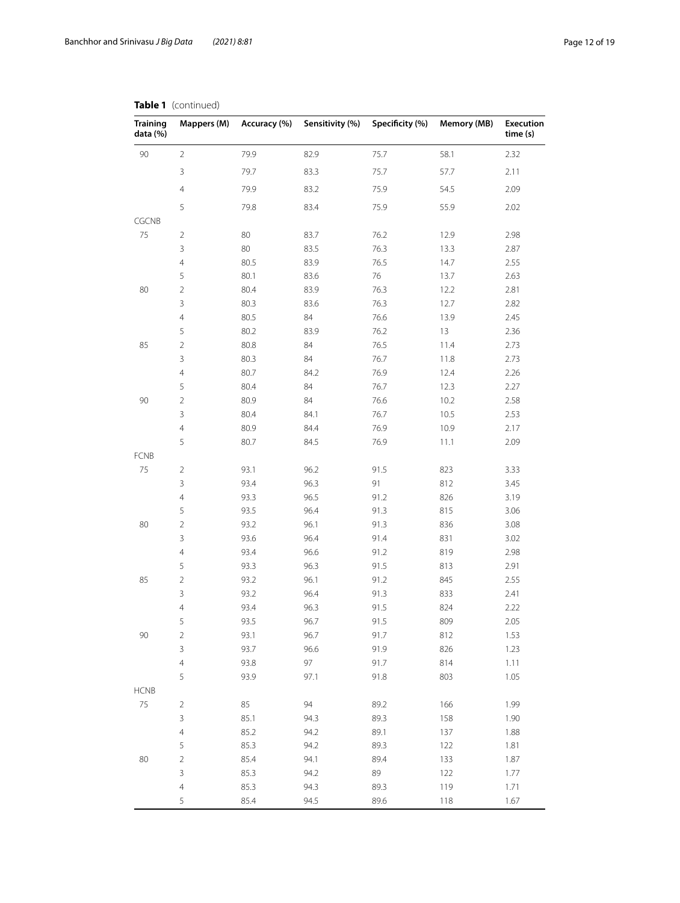| <b>Training</b><br>data (%) | Mappers (M)    | Accuracy (%) | Sensitivity (%) | Specificity (%) | Memory (MB) | <b>Execution</b><br>time (s) |
|-----------------------------|----------------|--------------|-----------------|-----------------|-------------|------------------------------|
| 90                          | $\overline{2}$ | 79.9         | 82.9            | 75.7            | 58.1        | 2.32                         |
|                             | 3              | 79.7         | 83.3            | 75.7            | 57.7        | 2.11                         |
|                             | $\overline{4}$ | 79.9         | 83.2            | 75.9            | 54.5        | 2.09                         |
|                             | 5              | 79.8         | 83.4            | 75.9            | 55.9        | 2.02                         |
| CGCNB                       |                |              |                 |                 |             |                              |
| 75                          | $\overline{2}$ | 80           | 83.7            | 76.2            | 12.9        | 2.98                         |
|                             | 3              | 80           | 83.5            | 76.3            | 13.3        | 2.87                         |
|                             | $\overline{4}$ | 80.5         | 83.9            | 76.5            | 14.7        | 2.55                         |
|                             | 5              | 80.1         | 83.6            | 76              | 13.7        | 2.63                         |
| 80                          | $\overline{2}$ | 80.4         | 83.9            | 76.3            | 12.2        | 2.81                         |
|                             | 3              | 80.3         | 83.6            | 76.3            | 12.7        | 2.82                         |
|                             | $\overline{4}$ | 80.5         | 84              | 76.6            | 13.9        | 2.45                         |
|                             | 5              | 80.2         | 83.9            | 76.2            | 13          | 2.36                         |
| 85                          | $\overline{c}$ | 80.8         | 84              | 76.5            | 11.4        | 2.73                         |
|                             | 3              | 80.3         | 84              | 76.7            | 11.8        | 2.73                         |
|                             | $\overline{4}$ | 80.7         | 84.2            | 76.9            | 12.4        | 2.26                         |
|                             | 5              | 80.4         | 84              | 76.7            | 12.3        | 2.27                         |
| 90                          | $\overline{2}$ | 80.9         | 84              | 76.6            | 10.2        | 2.58                         |
|                             | 3              | 80.4         | 84.1            | 76.7            | 10.5        | 2.53                         |
|                             | $\overline{4}$ | 80.9         | 84.4            | 76.9            | 10.9        | 2.17                         |
|                             | 5              | 80.7         | 84.5            | 76.9            | 11.1        | 2.09                         |
| <b>FCNB</b>                 |                |              |                 |                 |             |                              |
| 75                          | $\overline{2}$ | 93.1         | 96.2            | 91.5            | 823         | 3.33                         |
|                             | 3              | 93.4         | 96.3            | 91              | 812         | 3.45                         |
|                             | $\overline{4}$ | 93.3         | 96.5            | 91.2            | 826         | 3.19                         |
|                             | 5              | 93.5         | 96.4            | 91.3            | 815         | 3.06                         |
| 80                          | $\sqrt{2}$     | 93.2         | 96.1            | 91.3            | 836         | 3.08                         |
|                             | 3              | 93.6         | 96.4            | 91.4            | 831         | 3.02                         |
|                             | $\overline{4}$ | 93.4         | 96.6            | 91.2            | 819         | 2.98                         |
|                             | 5              | 93.3         | 96.3            | 91.5            | 813         | 2.91                         |
| 85                          | $\overline{2}$ | 93.2         | 96.1            | 91.2            | 845         | 2.55                         |
|                             | 3              | 93.2         | 96.4            | 91.3            | 833         | 2.41                         |
|                             | 4              | 93.4         | 96.3            | 91.5            | 824         | 2.22                         |
|                             | 5              | 93.5         | 96.7            | 91.5            | 809         | 2.05                         |
| 90                          | $\overline{2}$ | 93.1         | 96.7            | 91.7            | 812         | 1.53                         |
|                             | 3              | 93.7         | 96.6            | 91.9            | 826         | 1.23                         |
|                             | $\overline{4}$ | 93.8         | 97              | 91.7            | 814         | 1.11                         |
|                             | 5              | 93.9         | 97.1            | 91.8            | 803         | 1.05                         |
| <b>HCNB</b>                 |                |              |                 |                 |             |                              |
| 75                          | $\overline{2}$ | 85           | 94              | 89.2            | 166         | 1.99                         |
|                             | 3              | 85.1         | 94.3            | 89.3            | 158         | 1.90                         |
|                             | $\overline{4}$ | 85.2         | 94.2            | 89.1            | 137         | 1.88                         |
|                             | 5              | 85.3         | 94.2            | 89.3            | 122         | 1.81                         |
| 80                          | $\overline{2}$ | 85.4         | 94.1            | 89.4            | 133         | 1.87                         |
|                             | 3              | 85.3         | 94.2            | 89              | 122         | 1.77                         |
|                             | $\overline{4}$ | 85.3         | 94.3            | 89.3            | 119         | 1.71                         |
|                             | 5              | 85.4         | 94.5            | 89.6            | 118         | 1.67                         |

## **Table 1** (continued)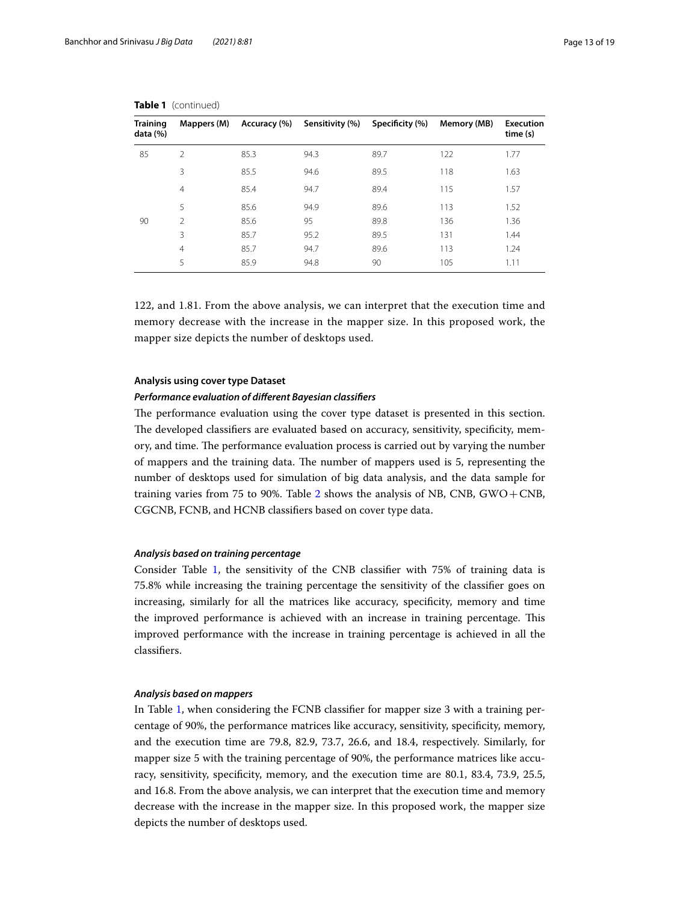| Training<br>data (%) | Mappers (M)    | Accuracy (%) | Sensitivity (%) | Specificity (%) | Memory (MB) | <b>Execution</b><br>time (s) |
|----------------------|----------------|--------------|-----------------|-----------------|-------------|------------------------------|
| 85                   | $\overline{2}$ | 85.3         | 94.3            | 89.7            | 122         | 1.77                         |
|                      | 3              | 85.5         | 94.6            | 89.5            | 118         | 1.63                         |
|                      | $\overline{4}$ | 85.4         | 94.7            | 89.4            | 115         | 1.57                         |
|                      | 5              | 85.6         | 94.9            | 89.6            | 113         | 1.52                         |
| 90                   | $\mathfrak{D}$ | 85.6         | 95              | 89.8            | 136         | 1.36                         |
|                      | 3              | 85.7         | 95.2            | 89.5            | 131         | 1.44                         |
|                      | $\overline{4}$ | 85.7         | 94.7            | 89.6            | 113         | 1.24                         |
|                      | 5              | 85.9         | 94.8            | 90              | 105         | 1.11                         |

|  | Table 1 (continued) |
|--|---------------------|
|--|---------------------|

122, and 1.81. From the above analysis, we can interpret that the execution time and memory decrease with the increase in the mapper size. In this proposed work, the mapper size depicts the number of desktops used.

## **Analysis using cover type Dataset**

## **Performance evaluation of different Bayesian classifiers**

The performance evaluation using the cover type dataset is presented in this section. The developed classifiers are evaluated based on accuracy, sensitivity, specificity, memory, and time. The performance evaluation process is carried out by varying the number of mappers and the training data. The number of mappers used is 5, representing the number of desktops used for simulation of big data analysis, and the data sample for training varies from 75 to 90%. Table [2](#page-13-0) shows the analysis of NB, CNB, GWO + CNB, CGCNB, FCNB, and HCNB classifiers based on cover type data.

## **Analysis based on training percentage**

Consider Table [1](#page-10-0), the sensitivity of the CNB classifier with 75% of training data is 75.8% while increasing the training percentage the sensitivity of the classifier goes on increasing, similarly for all the matrices like accuracy, specificity, memory and time the improved performance is achieved with an increase in training percentage. This improved performance with the increase in training percentage is achieved in all the classifiers.

## **Analysis based on mappers**

In Table [1](#page-10-0), when considering the FCNB classifier for mapper size 3 with a training percentage of 90%, the performance matrices like accuracy, sensitivity, specificity, memory, and the execution time are 79.8, 82.9, 73.7, 26.6, and 18.4, respectively. Similarly, for mapper size 5 with the training percentage of 90%, the performance matrices like accuracy, sensitivity, specificity, memory, and the execution time are 80.1, 83.4, 73.9, 25.5, and 16.8. From the above analysis, we can interpret that the execution time and memory decrease with the increase in the mapper size. In this proposed work, the mapper size depicts the number of desktops used.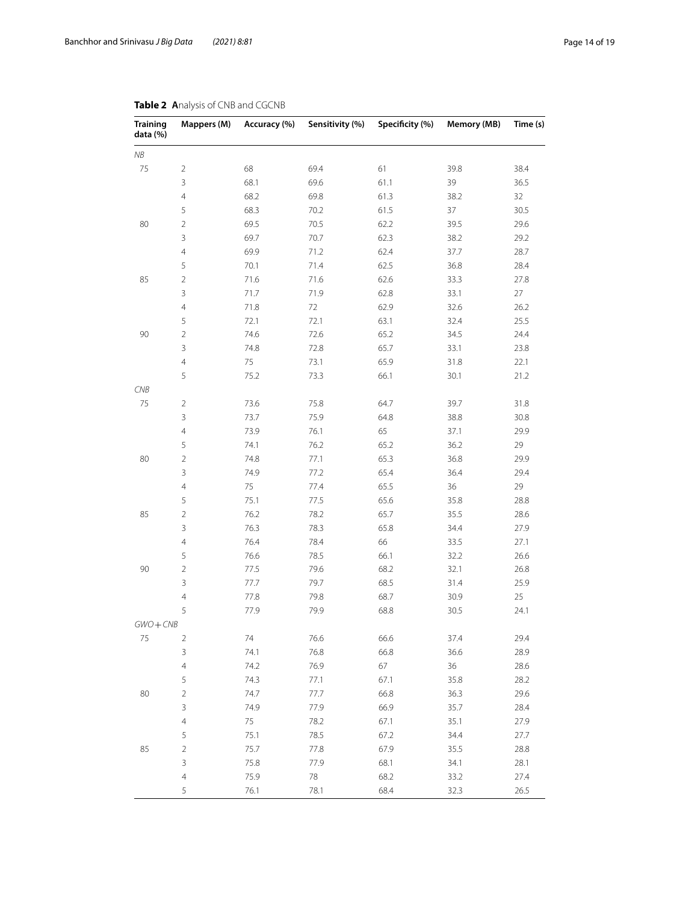| <b>Training</b><br>data (%) | Mappers (M)         | Accuracy (%) | Sensitivity (%) | Specificity (%) | <b>Memory (MB)</b> | Time (s)     |
|-----------------------------|---------------------|--------------|-----------------|-----------------|--------------------|--------------|
| NΒ                          |                     |              |                 |                 |                    |              |
| 75                          | $\overline{2}$      | 68           | 69.4            | 61              | 39.8               | 38.4         |
|                             | $\mathbf{3}$        | 68.1         | 69.6            | 61.1            | 39                 | 36.5         |
|                             | $\overline{4}$      | 68.2         | 69.8            | 61.3            | 38.2               | 32           |
|                             | 5                   | 68.3         | 70.2            | 61.5            | 37                 | 30.5         |
| 80                          | $\overline{2}$      | 69.5         | 70.5            | 62.2            | 39.5               | 29.6         |
|                             | 3                   | 69.7         | 70.7            | 62.3            | 38.2               | 29.2         |
|                             | $\overline{4}$      | 69.9         | 71.2            | 62.4            | 37.7               | 28.7         |
|                             | 5                   | 70.1         | 71.4            | 62.5            | 36.8               | 28.4         |
| 85                          | $\sqrt{2}$          | 71.6         | 71.6            | 62.6            | 33.3               | 27.8         |
|                             | $\mathsf 3$         | 71.7         | 71.9            | 62.8            | 33.1               | 27           |
|                             | $\overline{4}$      | 71.8         | 72              | 62.9            | 32.6               | 26.2         |
|                             | 5                   | 72.1         | 72.1            | 63.1            | 32.4               | 25.5         |
| 90                          | $\overline{2}$      | 74.6         | 72.6            | 65.2            | 34.5               | 24.4         |
|                             | $\mathsf 3$         | 74.8         | 72.8            | 65.7            | 33.1               | 23.8         |
|                             | $\overline{4}$      | 75           | 73.1            | 65.9            | 31.8               | 22.1         |
|                             | 5                   | 75.2         | 73.3            | 66.1            | 30.1               | 21.2         |
| CNB                         |                     |              |                 |                 |                    |              |
| 75                          | $\overline{2}$      | 73.6         | 75.8            | 64.7            | 39.7               | 31.8         |
|                             | $\mathsf 3$         | 73.7         | 75.9            | 64.8            | 38.8               | 30.8         |
|                             | $\overline{4}$      | 73.9         | 76.1            | 65              | 37.1               | 29.9         |
|                             | 5                   | 74.1         | 76.2            | 65.2            | 36.2               | 29           |
| 80                          | $\sqrt{2}$          | 74.8         | 77.1            | 65.3            | 36.8               | 29.9         |
|                             | $\mathsf 3$         | 74.9         | 77.2            | 65.4            | 36.4               | 29.4         |
|                             | $\overline{4}$      | 75           | 77.4            | 65.5            | 36                 | 29           |
|                             | 5                   | 75.1         | 77.5            | 65.6            | 35.8               | 28.8         |
| 85                          | $\sqrt{2}$          | 76.2         | 78.2            | 65.7            | 35.5               | 28.6         |
|                             | $\mathsf 3$         | 76.3         | 78.3            | 65.8            | 34.4               | 27.9         |
|                             | $\overline{4}$      | 76.4         | 78.4            | 66              | 33.5               | 27.1         |
|                             | 5                   | 76.6         | 78.5            | 66.1            | 32.2               | 26.6         |
| 90                          | $\sqrt{2}$          | 77.5         | 79.6            | 68.2            | 32.1               | 26.8         |
|                             | $\mathsf 3$         | 77.7         | 79.7            | 68.5            | 31.4               | 25.9         |
|                             | $\overline{4}$      | 77.8         | 79.8            | 68.7            | 30.9               | 25           |
|                             | 5                   | 77.9         | 79.9            | 68.8            | 30.5               | 24.1         |
|                             |                     |              |                 |                 |                    |              |
| $GWO + CNB$<br>75           | $\overline{2}$      | 74           | 76.6            | 66.6            | 37.4               | 29.4         |
|                             | $\mathsf 3$         | 74.1         | 76.8            | 66.8            | 36.6               | 28.9         |
|                             | $\overline{4}$      | 74.2         |                 |                 |                    |              |
|                             | 5                   | 74.3         | 76.9<br>77.1    | 67<br>67.1      | 36<br>35.8         | 28.6<br>28.2 |
| 80                          | $\sqrt{2}$          | 74.7         | 77.7            | 66.8            |                    | 29.6         |
|                             | $\mathsf 3$         | 74.9         |                 |                 | 36.3               |              |
|                             |                     |              | 77.9            | 66.9            | 35.7               | 28.4         |
|                             | $\overline{4}$<br>5 | 75           | 78.2            | 67.1            | 35.1               | 27.9         |
|                             |                     | 75.1         | 78.5            | 67.2            | 34.4               | 27.7         |
| 85                          | $\overline{2}$      | 75.7         | 77.8            | 67.9            | 35.5               | 28.8         |
|                             | $\mathsf 3$         | 75.8         | 77.9            | 68.1            | 34.1               | 28.1         |
|                             | $\overline{4}$      | 75.9         | 78              | 68.2            | 33.2               | 27.4         |
|                             | 5                   | 76.1         | 78.1            | 68.4            | 32.3               | 26.5         |

# <span id="page-13-0"></span>**Table 2 A**nalysis of CNB and CGCNB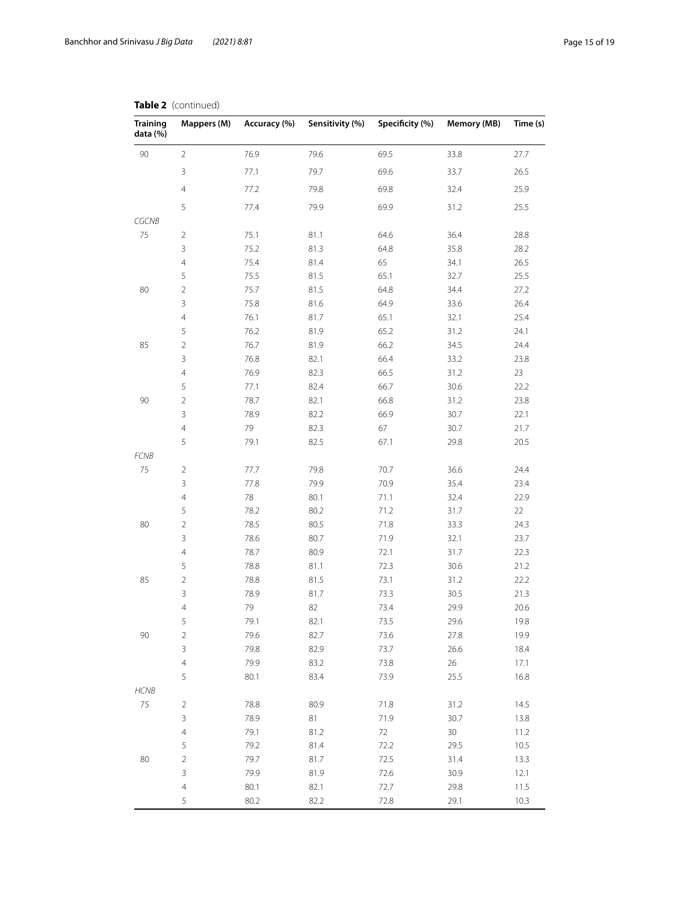| <b>Training</b><br>data (%) | Mappers (M)    | Accuracy (%) | Sensitivity (%) | Specificity (%) | <b>Memory (MB)</b> | Time (s) |
|-----------------------------|----------------|--------------|-----------------|-----------------|--------------------|----------|
| $90\,$                      | $\overline{2}$ | 76.9         | 79.6            | 69.5            | 33.8               | 27.7     |
|                             | $\mathsf 3$    | 77.1         | 79.7            | 69.6            | 33.7               | 26.5     |
|                             | $\overline{4}$ | 77.2         | 79.8            | 69.8            | 32.4               | 25.9     |
|                             | 5              | 77.4         | 79.9            | 69.9            | 31.2               | 25.5     |
| CGCNB                       |                |              |                 |                 |                    |          |
| 75                          | $\overline{2}$ | 75.1         | 81.1            | 64.6            | 36.4               | 28.8     |
|                             | 3              | 75.2         | 81.3            | 64.8            | 35.8               | 28.2     |
|                             | $\overline{4}$ | 75.4         | 81.4            | 65              | 34.1               | 26.5     |
|                             | 5              | 75.5         | 81.5            | 65.1            | 32.7               | 25.5     |
| 80                          | $\sqrt{2}$     | 75.7         | 81.5            | 64.8            | 34.4               | 27.2     |
|                             | $\mathsf 3$    | 75.8         | 81.6            | 64.9            | 33.6               | 26.4     |
|                             | $\overline{4}$ | 76.1         | 81.7            | 65.1            | 32.1               | 25.4     |
|                             | 5              | 76.2         | 81.9            | 65.2            | 31.2               | 24.1     |
| 85                          | $\overline{2}$ | 76.7         | 81.9            | 66.2            | 34.5               | 24.4     |
|                             | $\mathsf 3$    | 76.8         | 82.1            | 66.4            | 33.2               | 23.8     |
|                             | $\overline{4}$ | 76.9         | 82.3            | 66.5            | 31.2               | 23       |
|                             | 5              | 77.1         | 82.4            | 66.7            | 30.6               | 22.2     |
| 90                          | $\overline{2}$ | 78.7         | 82.1            | 66.8            | 31.2               | 23.8     |
|                             | $\mathsf 3$    | 78.9         | 82.2            | 66.9            | 30.7               | 22.1     |
|                             | $\overline{4}$ | 79           | 82.3            | 67              | 30.7               | 21.7     |
|                             | 5              | 79.1         | 82.5            | 67.1            | 29.8               | 20.5     |
| <b>FCNB</b>                 |                |              |                 |                 |                    |          |
| 75                          | $\overline{2}$ | 77.7         | 79.8            | 70.7            | 36.6               | 24.4     |
|                             | $\mathsf 3$    | 77.8         | 79.9            | 70.9            | 35.4               | 23.4     |
|                             | $\overline{4}$ | $78\,$       | 80.1            | 71.1            | 32.4               | 22.9     |
|                             | 5              | 78.2         | 80.2            | 71.2            | 31.7               | 22       |
| 80                          | $\sqrt{2}$     | 78.5         | 80.5            | 71.8            | 33.3               | 24.3     |
|                             | 3              | 78.6         | 80.7            | 71.9            | 32.1               | 23.7     |
|                             | $\overline{4}$ | 78.7         | 80.9            | 72.1            | 31.7               | 22.3     |
|                             | 5              | 78.8         | 81.1            | 72.3            | 30.6               | 21.2     |
| 85                          | $\sqrt{2}$     | 78.8         | 81.5            | 73.1            | 31.2               | 22.2     |
|                             | 3              | 78.9         | 81.7            | 73.3            | 30.5               | 21.3     |
|                             | 4              | 79           | 82              | 73.4            | 29.9               | 20.6     |
|                             | 5              | 79.1         | 82.1            | 73.5            | 29.6               | 19.8     |
| 90                          | $\overline{2}$ | 79.6         | 82.7            | 73.6            | 27.8               | 19.9     |
|                             | 3              | 79.8         | 82.9            | 73.7            | 26.6               | 18.4     |
|                             | $\overline{4}$ | 79.9         | 83.2            | 73.8            | 26                 | 17.1     |
|                             | 5              | 80.1         | 83.4            | 73.9            | 25.5               | 16.8     |
| <b>HCNB</b>                 |                |              |                 |                 |                    |          |
| 75                          | $\overline{2}$ | 78.8         | 80.9            | 71.8            | 31.2               | 14.5     |
|                             | $\mathsf 3$    | 78.9         | 81              | 71.9            | 30.7               | 13.8     |
|                             | $\overline{4}$ | 79.1         | 81.2            | 72              | 30                 | 11.2     |
|                             | 5              | 79.2         | 81.4            | 72.2            | 29.5               | $10.5$   |
| 80                          | $\sqrt{2}$     | 79.7         | 81.7            | 72.5            | 31.4               | 13.3     |
|                             | $\overline{3}$ | 79.9         | 81.9            | 72.6            | 30.9               | 12.1     |
|                             | $\overline{4}$ | 80.1         | 82.1            | 72.7            | 29.8               | 11.5     |
|                             | 5              | 80.2         | 82.2            | 72.8            | 29.1               | 10.3     |

## **Table 2** (continued)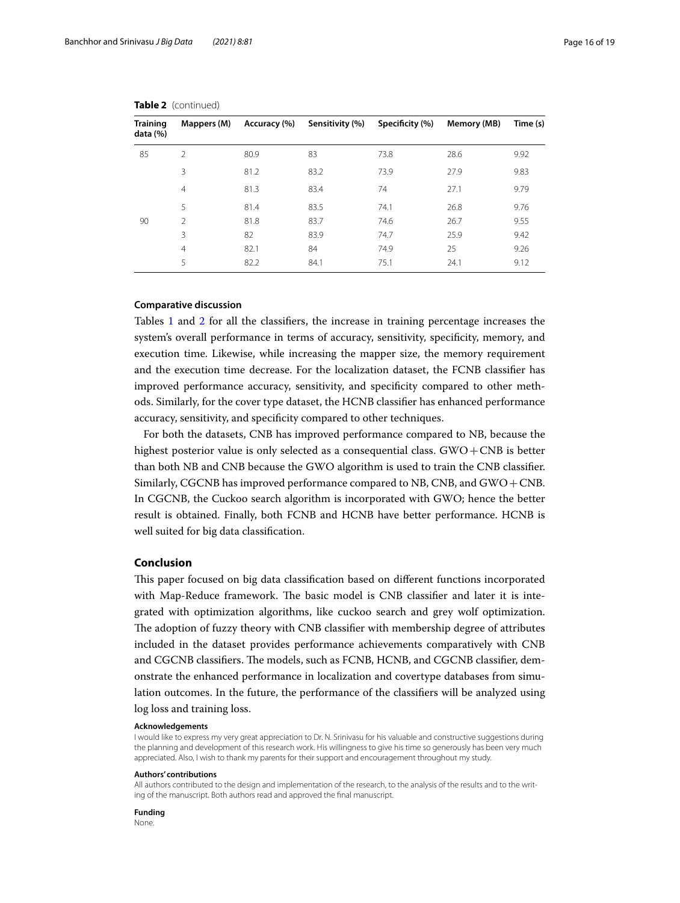| Training<br>data (%) | Mappers (M)    | Accuracy (%) | Sensitivity (%) | Specificity (%) | Memory (MB) | Time (s) |
|----------------------|----------------|--------------|-----------------|-----------------|-------------|----------|
| 85                   | $\mathfrak{D}$ | 80.9         | 83              | 73.8            | 28.6        | 9.92     |
|                      | 3              | 81.2         | 83.2            | 73.9            | 27.9        | 9.83     |
|                      | $\overline{4}$ | 81.3         | 83.4            | 74              | 27.1        | 9.79     |
|                      | 5              | 81.4         | 83.5            | 74.1            | 26.8        | 9.76     |
| 90                   | $\mathcal{P}$  | 81.8         | 83.7            | 74.6            | 26.7        | 9.55     |
|                      | 3              | 82           | 83.9            | 74.7            | 25.9        | 9.42     |
|                      | $\overline{4}$ | 82.1         | 84              | 74.9            | 25          | 9.26     |
|                      | 5              | 82.2         | 84.1            | 75.1            | 24.1        | 9.12     |

**Table 2** (continued)

## **Comparative discussion**

Tables [1](#page-10-0) and [2](#page-13-0) for all the classifiers, the increase in training percentage increases the system's overall performance in terms of accuracy, sensitivity, specificity, memory, and execution time. Likewise, while increasing the mapper size, the memory requirement and the execution time decrease. For the localization dataset, the FCNB classifier has improved performance accuracy, sensitivity, and specificity compared to other methods. Similarly, for the cover type dataset, the HCNB classifier has enhanced performance accuracy, sensitivity, and specificity compared to other techniques.

For both the datasets, CNB has improved performance compared to NB, because the highest posterior value is only selected as a consequential class.  $GWO + CNB$  is better than both NB and CNB because the GWO algorithm is used to train the CNB classifier. Similarly, CGCNB has improved performance compared to NB, CNB, and GWO + CNB. In CGCNB, the Cuckoo search algorithm is incorporated with GWO; hence the better result is obtained. Finally, both FCNB and HCNB have better performance. HCNB is well suited for big data classification.

## <span id="page-15-0"></span>**Conclusion**

This paper focused on big data classification based on different functions incorporated with Map-Reduce framework. The basic model is CNB classifier and later it is integrated with optimization algorithms, like cuckoo search and grey wolf optimization. The adoption of fuzzy theory with CNB classifier with membership degree of attributes included in the dataset provides performance achievements comparatively with CNB and CGCNB classifiers. The models, such as FCNB, HCNB, and CGCNB classifier, demonstrate the enhanced performance in localization and covertype databases from simulation outcomes. In the future, the performance of the classifiers will be analyzed using log loss and training loss.

#### **Acknowledgements**

I would like to express my very great appreciation to Dr. N. Srinivasu for his valuable and constructive suggestions during the planning and development of this research work. His willingness to give his time so generously has been very much appreciated. Also, I wish to thank my parents for their support and encouragement throughout my study.

#### **Authors' contributions**

All authors contributed to the design and implementation of the research, to the analysis of the results and to the writing of the manuscript. Both authors read and approved the final manuscript.

**Funding** None.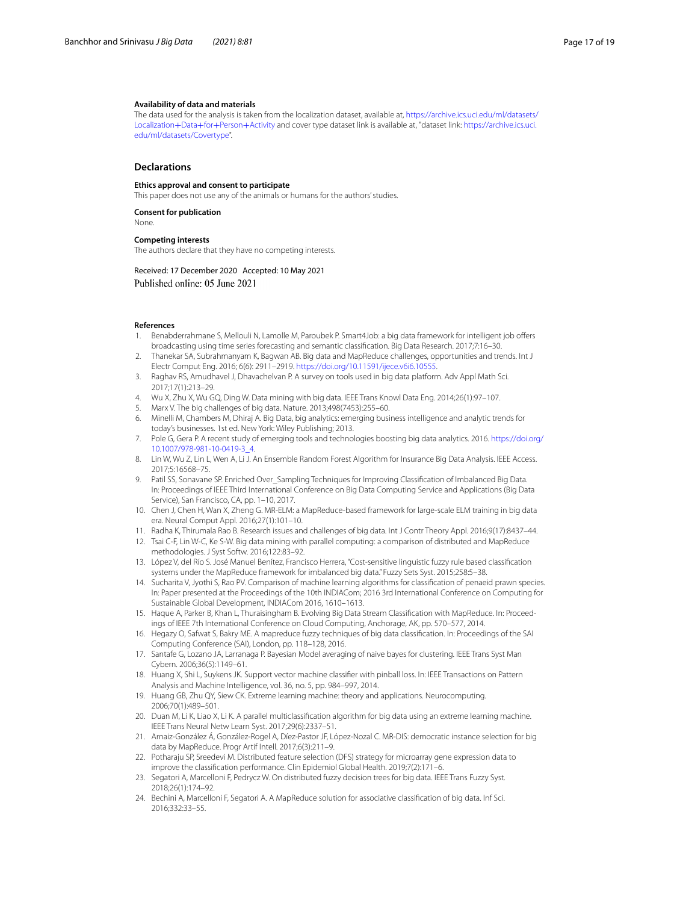#### **Availability of data and materials**

The data used for the analysis is taken from the localization dataset, available at, https://archive.ics.uci.edu/ml/datasets/ Localization+Data+for+Person+Activity and cover type dataset link is available at, "dataset link: https://archive.ics.uci. edu/ml/datasets/Covertype[".](https://archive.ics.uci.edu/ml/datasets/Localization+Data+for+Person+Activity)

## **Declarations**

#### **Ethics approval and consent to participate**

This paper does not use any of the animals or humans for the authors' studies.

**Consent for publication** None.

# **Competing interests**

The authors declare that they have no competing interests.

Received: 17 December 2020 Accepted: 10 May 2021 Published online: 05 June 2021

#### **References**

- <span id="page-16-0"></span> 1. Benabderrahmane S, Mellouli N, Lamolle M, Paroubek P. Smart4Job: a big data framework for intelligent job offers broadcasting using time series forecasting and semantic classification. Big Data Research. 2017;7:16–30.
- <span id="page-16-1"></span> 2. Thanekar SA, Subrahmanyam K, Bagwan AB. Big data and MapReduce challenges, opportunities and trends. Int J Electr Comput Eng. 2016; 6(6): 2911–2919. [https:// doi. org/ 10. 11591/ ijece. v6i6. 10555](https://doi.org/10.11591/ijece.v6i6.10555).
- <span id="page-16-2"></span> 3. Raghav RS, Amudhavel J, Dhavachelvan P. A survey on tools used in big data platform. Adv Appl Math Sci. 2017;17(1):213–29.
- <span id="page-16-3"></span>4. Wu X, Zhu X, Wu GQ, Ding W. Data mining with big data. IEEE Trans Knowl Data Eng. 2014;26(1):97–107.
- <span id="page-16-4"></span>5. Marx V. The big challenges of big data. Nature. 2013;498(7453):255–60.
- <span id="page-16-5"></span> 6. Minelli M, Chambers M, Dhiraj A. Big Data, big analytics: emerging business intelligence and analytic trends for today's businesses. 1st ed. New York: Wiley Publishing; 2013.
- <span id="page-16-6"></span>7. Pole G, Gera P. A recent study of emerging tools and technologies boosting big data analytics. 2016. https://doi.org/ 10. 1007/ 978- 981 - 10 - 0419 - 3 4.
- <span id="page-16-7"></span> 8. Lin W, Wu Z, Lin L, Wen A, Li J. An Ensemble Random Forest Algorithm for Insurance Big Data Analysis. IEEE Access. 2017;5:16568–75.
- <span id="page-16-8"></span> 9. Patil SS, Sonavane SP. Enriched Over\_Sampling Techniques for Improving Classification of Imbalanced Big Data. In: Proceedings of IEEE Third International Conference on Big Data Computing Service and Applications (Big Data Service), San Francisco, CA, pp. 1-10, 2017.
- <span id="page-16-9"></span> 10. Chen J, Chen H, Wan X, Zheng G. MR-ELM: a MapReduce-based framework for large-scale ELM training in big data era. Neural Comput Appl. 2016;27(1):101–10.
- <span id="page-16-10"></span>11. Radha K, Thirumala Rao B. Research issues and challenges of big data. Int J Contr Theory Appl. 2016;9(17):8437–44.
- <span id="page-16-11"></span> 12. Tsai C-F, Lin W-C, Ke S-W. Big data mining with parallel computing: a comparison of distributed and MapReduce methodologies. J Syst Softw. 2016;122:83–92.
- <span id="page-16-12"></span> 13. López V, del Río S. José Manuel Benítez, Francisco Herrera, "Cost-sensitive linguistic fuzzy rule based classification systems under the MapReduce framework for imbalanced big data." Fuzzy Sets Syst. 2015;258:5–38.
- <span id="page-16-13"></span> 14. Sucharita V, Jyothi S, Rao PV. Comparison of machine learning algorithms for classification of penaeid prawn species. In: Paper presented at the Proceedings of the 10th INDIACom; 2016 3rd International Conference on Computing for Sustainable Global Development, INDIACom 2016, 1610–1613.
- <span id="page-16-14"></span> 15. Haque A, Parker B, Khan L, Thuraisingham B. Evolving Big Data Stream Classification with MapReduce. In: Proceedings of IEEE 7th International Conference on Cloud Computing, Anchorage, AK, pp. 570–577, 2014.
- <span id="page-16-15"></span> 16. Hegazy O, Safwat S, Bakry ME. A mapreduce fuzzy techniques of big data classification. In: Proceedings of the SAI Computing Conference (SAI), London, pp. 118–128, 2016.
- <span id="page-16-16"></span> 17. Santafe G, Lozano JA, Larranaga P. Bayesian Model averaging of naive bayes for clustering. IEEE Trans Syst Man Cybern. 2006;36(5):1149–61.
- <span id="page-16-17"></span> 18. Huang X, Shi L, Suykens JK. Support vector machine classifier with pinball loss. In: IEEE Transactions on Pattern Analysis and Machine Intelligence, vol. 36, no. 5, pp. 984–997, 2014.
- <span id="page-16-18"></span> 19. Huang GB, Zhu QY, Siew CK. Extreme learning machine: theory and applications. Neurocomputing. 2006;70(1):489–501.
- <span id="page-16-19"></span> 20. Duan M, Li K, Liao X, Li K. A parallel multiclassification algorithm for big data using an extreme learning machine. IEEE Trans Neural Netw Learn Syst. 2017;29(6):2337–51.
- <span id="page-16-20"></span> 21. Arnaiz-González Á, González-Rogel A, Díez-Pastor JF, López-Nozal C. MR-DIS: democratic instance selection for big data by MapReduce. Progr Artif Intell. 2017;6(3):211–9.
- <span id="page-16-21"></span> 22. Potharaju SP, Sreedevi M. Distributed feature selection (DFS) strategy for microarray gene expression data to improve the classification performance. Clin Epidemiol Global Health. 2019;7(2):171–6.
- <span id="page-16-22"></span> 23. Segatori A, Marcelloni F, Pedrycz W. On distributed fuzzy decision trees for big data. IEEE Trans Fuzzy Syst. 2018;26(1):174–92.
- <span id="page-16-23"></span> 24. Bechini A, Marcelloni F, Segatori A. A MapReduce solution for associative classification of big data. Inf Sci. 2016;332:33–55.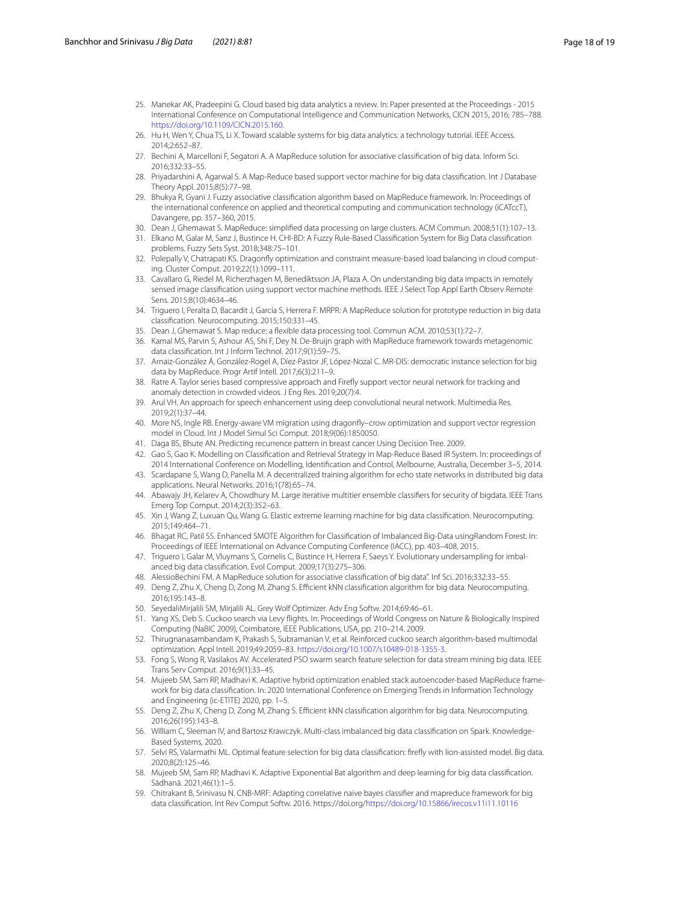- <span id="page-17-0"></span> 25. Manekar AK, Pradeepini G. Cloud based big data analytics a review. In: Paper presented at the Proceedings - 2015 International Conference on Computational Intelligence and Communication Networks, CICN 2015, 2016; 785–788. https://doi.org/10.1109/CICN.2015.160.
- <span id="page-17-1"></span> 26. Hu H, Wen Y, Chua TS, Li X. Toward scalable systems for big data analytics: a technology tutorial. IEEE Access. 2014;2:652–87.
- <span id="page-17-2"></span> 27. Bechini A, Marcelloni F, Segatori A. A MapReduce solution for associative classification of big data. Inform Sci. 2016;332:33–55.
- <span id="page-17-3"></span> 28. Priyadarshini A, Agarwal S. A Map-Reduce based support vector machine for big data classification. Int J Database Theory Appl. 2015;8(5):77–98.
- <span id="page-17-4"></span> 29. Bhukya R, Gyani J. Fuzzy associative classification algorithm based on MapReduce framework. In: Proceedings of the international conference on applied and theoretical computing and communication technology (iCATccT), Davangere, pp. 357–360, 2015.
- <span id="page-17-5"></span>30. Dean J, Ghemawat S. MapReduce: simplified data processing on large clusters. ACM Commun. 2008;51(1):107–13.
- <span id="page-17-6"></span> 31. Elkano M, Galar M, Sanz J, Bustince H. CHI-BD: A Fuzzy Rule-Based Classification System for Big Data classification problems. Fuzzy Sets Syst. 2018;348:75–101.
- <span id="page-17-7"></span> 32. Polepally V, Chatrapati KS. Dragonfly optimization and constraint measure-based load balancing in cloud computing. Cluster Comput. 2019;22(1):1099–111.
- <span id="page-17-8"></span> 33. Cavallaro G, Riedel M, Richerzhagen M, Benediktsson JA, Plaza A. On understanding big data impacts in remotely sensed image classification using support vector machine methods. IEEE J Select Top Appl Earth Observ Remote Sens. 2015;8(10):4634–46.
- <span id="page-17-9"></span> 34. Triguero I, Peralta D, Bacardit J, García S, Herrera F. MRPR: A MapReduce solution for prototype reduction in big data classification. Neurocomputing. 2015;150:331–45.
- <span id="page-17-10"></span>35. Dean J, Ghemawat S. Map reduce: a flexible data processing tool. Commun ACM. 2010;53(1):72–7.
- <span id="page-17-11"></span> 36. Kamal MS, Parvin S, Ashour AS, Shi F, Dey N. De-Bruijn graph with MapReduce framework towards metagenomic data classification. Int J Inform Technol. 2017;9(1):59–75.
- <span id="page-17-12"></span> 37. Arnaiz-González Á, González-Rogel A, Díez-Pastor JF, López-Nozal C. MR-DIS: democratic instance selection for big data by MapReduce. Progr Artif Intell. 2017;6(3):211–9.
- <span id="page-17-13"></span> 38. Ratre A. Taylor series based compressive approach and Firefly support vector neural network for tracking and anomaly detection in crowded videos. J Eng Res. 2019;20(7):4.
- <span id="page-17-14"></span> 39. Arul VH. An approach for speech enhancement using deep convolutional neural network. Multimedia Res. 2019;2(1):37–44.
- <span id="page-17-15"></span> 40. More NS, Ingle RB. Energy-aware VM migration using dragonfly–crow optimization and support vector regression model in Cloud. Int J Model Simul Sci Comput. 2018;9(06):1850050.
- <span id="page-17-16"></span>41. Daga BS, Bhute AN. Predicting recurrence pattern in breast cancer Using Decision Tree. 2009.
- <span id="page-17-17"></span> 42. Gao S, Gao K. Modelling on Classification and Retrieval Strategy in Map-Reduce Based IR System. In: proceedings of 2014 International Conference on Modelling, Identification and Control, Melbourne, Australia, December 3–5, 2014.
- <span id="page-17-18"></span> 43. Scardapane S, Wang D, Panella M. A decentralized training algorithm for echo state networks in distributed big data applications. Neural Networks. 2016;1(78):65–74.
- <span id="page-17-19"></span> 44. Abawajy JH, Kelarev A, Chowdhury M. Large iterative multitier ensemble classifiers for security of bigdata. IEEE Trans Emerg Top Comput. 2014;2(3):352–63.
- <span id="page-17-20"></span> 45. Xin J, Wang Z, Luxuan Qu, Wang G. Elastic extreme learning machine for big data classification. Neurocomputing. 2015;149:464–71.
- <span id="page-17-21"></span> 46. Bhagat RC, Patil SS. Enhanced SMOTE Algorithm for Classification of Imbalanced Big-Data usingRandom Forest. In: Proceedings of IEEE International on Advance Computing Conference (IACC), pp. 403–408, 2015.
- <span id="page-17-22"></span> 47. Triguero I, Galar M, Vluymans S, Cornelis C, Bustince H, Herrera F, Saeys Y. Evolutionary undersampling for imbalanced big data classification. Evol Comput. 2009;17(3):275–306.
- <span id="page-17-23"></span>48. AlessioBechini FM. A MapReduce solution for associative classification of big data". Inf Sci. 2016;332:33–55.
- <span id="page-17-24"></span> 49. Deng Z, Zhu X, Cheng D, Zong M, Zhang S. Efficient kNN classification algorithm for big data. Neurocomputing. 2016;195:143–8.
- <span id="page-17-25"></span>50. SeyedaliMirjalili SM, Mirjalili AL. Grey Wolf Optimizer. Adv Eng Softw. 2014;69:46–61.
- <span id="page-17-26"></span> 51. Yang XS, Deb S. Cuckoo search via Levy flights. In: Proceedings of World Congress on Nature & Biologically Inspired Computing (NaBIC 2009), Coimbatore, IEEE Publications, USA, pp. 210–214. 2009.
- <span id="page-17-27"></span> 52. Thirugnanasambandam K, Prakash S, Subramanian V, et al. Reinforced cuckoo search algorithm-based multimodal optimization. Appl Intell. 2019;49:2059-83. https://doi.org/10.1007/s10489-018-1355-3.
- <span id="page-17-28"></span> 53. Fong S, Wong R, Vasilakos AV. Accelerated PSO swarm search feature selection for data stream mining big data. IEEE Trans Serv Comput. 2016;9(1):33–45.
- <span id="page-17-29"></span> 54. Mujeeb SM, Sam RP, Madhavi K. Adaptive hybrid optimization enabled stack autoencoder-based MapReduce framework for big data classification. In: 2020 International Conference on Emerging Trends in Information Technology and Engineering (ic-ETITE) 2020, pp. 1–5.
- <span id="page-17-30"></span> 55. Deng Z, Zhu X, Cheng D, Zong M, Zhang S. Efficient kNN classification algorithm for big data. Neurocomputing. 2016;26(195):143–8.
- <span id="page-17-31"></span> 56. William C, Sleeman IV, and Bartosz Krawczyk. Multi-class imbalanced big data classification on Spark. Knowledge-Based Systems, 2020.
- <span id="page-17-32"></span> 57. Selvi RS, Valarmathi ML. Optimal feature selection for big data classification: firefly with lion-assisted model. Big data. 2020;8(2):125–46.
- <span id="page-17-33"></span> 58. Mujeeb SM, Sam RP, Madhavi K. Adaptive Exponential Bat algorithm and deep learning for big data classification. Sādhanā. 2021;46(1):1–5.
- <span id="page-17-34"></span> 59. Chitrakant B, Srinivasu N. CNB-MRF: Adapting correlative naive bayes classifier and mapreduce framework for big data classification. Int Rev Comput Softw. 2016. https://doi.org/https://doi.org/10.15866/irecos.v11i11.10116